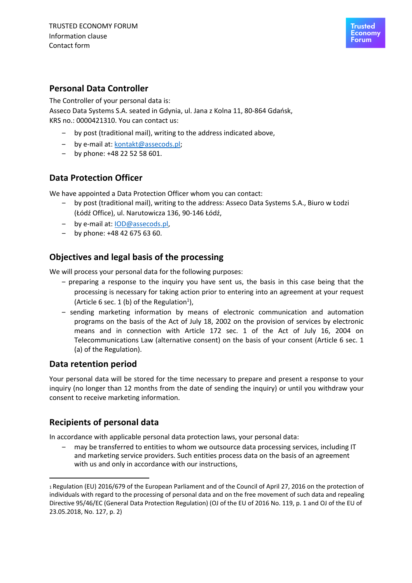

### **Personal Data Controller**

The Controller of your personal data is: Asseco Data Systems S.A. seated in Gdynia, ul. Jana z Kolna 11, 80-864 Gdańsk, KRS no.: 0000421310. You can contact us:

- ‒ by post (traditional mail), writing to the address indicated above,
- ‒ by e-mail at: kontakt@assecods.pl;
- $-$  by phone:  $+48$  22 52 58 601.

#### **Data Protection Officer**

We have appointed a Data Protection Officer whom you can contact:

- ‒ by post (traditional mail), writing to the address: Asseco Data Systems S.A., Biuro w Łodzi (Łódź Office), ul. Narutowicza 136, 90-146 Łódź,
- by e-mail at: IOD@assecods.pl,
- $-$  by phone: +48 42 675 63 60.

#### **Objectives and legal basis of the processing**

We will process your personal data for the following purposes:

- ‒ preparing a response to the inquiry you have sent us, the basis in this case being that the processing is necessary for taking action prior to entering into an agreement at your request (Article 6 sec. 1 (b) of the Regulation<sup>1</sup>),
- ‒ sending marketing information by means of electronic communication and automation programs on the basis of the Act of July 18, 2002 on the provision of services by electronic means and in connection with Article 172 sec. 1 of the Act of July 16, 2004 on Telecommunications Law (alternative consent) on the basis of your consent (Article 6 sec. 1 (a) of the Regulation).

#### **Data retention period**

Your personal data will be stored for the time necessary to prepare and present a response to your inquiry (no longer than 12 months from the date of sending the inquiry) or until you withdraw your consent to receive marketing information.

#### **Recipients of personal data**

In accordance with applicable personal data protection laws, your personal data:

‒ may be transferred to entities to whom we outsource data processing services, including IT and marketing service providers. Such entities process data on the basis of an agreement with us and only in accordance with our instructions,

<sup>1</sup> Regulation (EU) 2016/679 of the European Parliament and of the Council of April 27, 2016 on the protection of individuals with regard to the processing of personal data and on the free movement of such data and repealing Directive 95/46/EC (General Data Protection Regulation) (OJ of the EU of 2016 No. 119, p. 1 and OJ of the EU of 23.05.2018, No. 127, p. 2)